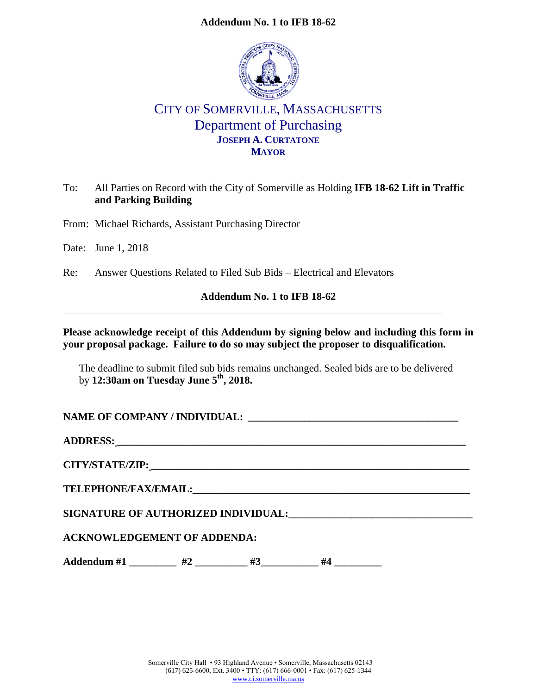## **Addendum No. 1 to IFB 18-62**



# CITY OF SOMERVILLE, MASSACHUSETTS Department of Purchasing **JOSEPH A. CURTATONE MAYOR**

## To: All Parties on Record with the City of Somerville as Holding **IFB 18-62 Lift in Traffic and Parking Building**

From: Michael Richards, Assistant Purchasing Director

Date: June 1, 2018

Re: Answer Questions Related to Filed Sub Bids – Electrical and Elevators

#### **Addendum No. 1 to IFB 18-62**

## **Please acknowledge receipt of this Addendum by signing below and including this form in your proposal package. Failure to do so may subject the proposer to disqualification.**

The deadline to submit filed sub bids remains unchanged. Sealed bids are to be delivered by **12:30am on Tuesday June 5th, 2018.**

NAME OF COMPANY / INDIVIDUAL:

**ADDRESS: \_\_\_\_\_\_\_\_\_\_\_\_\_\_\_\_\_\_\_\_\_\_\_\_\_\_\_\_\_\_\_\_\_\_\_\_\_\_\_\_\_\_\_\_\_\_\_\_\_\_\_\_\_\_\_\_\_\_\_\_\_\_\_\_\_\_\_\_**

**CITY/STATE/ZIP: \_\_\_\_\_\_\_\_\_\_\_\_\_\_\_\_\_\_\_\_\_\_\_\_\_\_\_\_\_\_\_\_\_\_\_\_\_\_\_\_\_\_\_\_\_\_\_\_\_\_\_\_\_\_\_\_\_\_\_\_\_\_**

**TELEPHONE/FAX/EMAIL:\_\_\_\_\_\_\_\_\_\_\_\_\_\_\_\_\_\_\_\_\_\_\_\_\_\_\_\_\_\_\_\_\_\_\_\_\_\_\_\_\_\_\_\_\_\_\_\_\_\_\_\_\_\_**

**SIGNATURE OF AUTHORIZED INDIVIDUAL:\_\_\_\_\_\_\_\_\_\_\_\_\_\_\_\_\_\_\_\_\_\_\_\_\_\_\_\_\_\_\_\_\_\_\_**

## **ACKNOWLEDGEMENT OF ADDENDA:**

Addendum #1 \_\_\_\_\_\_\_\_ #2 \_\_\_\_\_\_\_\_ #3 \_\_\_\_\_\_\_ #4 \_\_\_\_\_\_\_\_